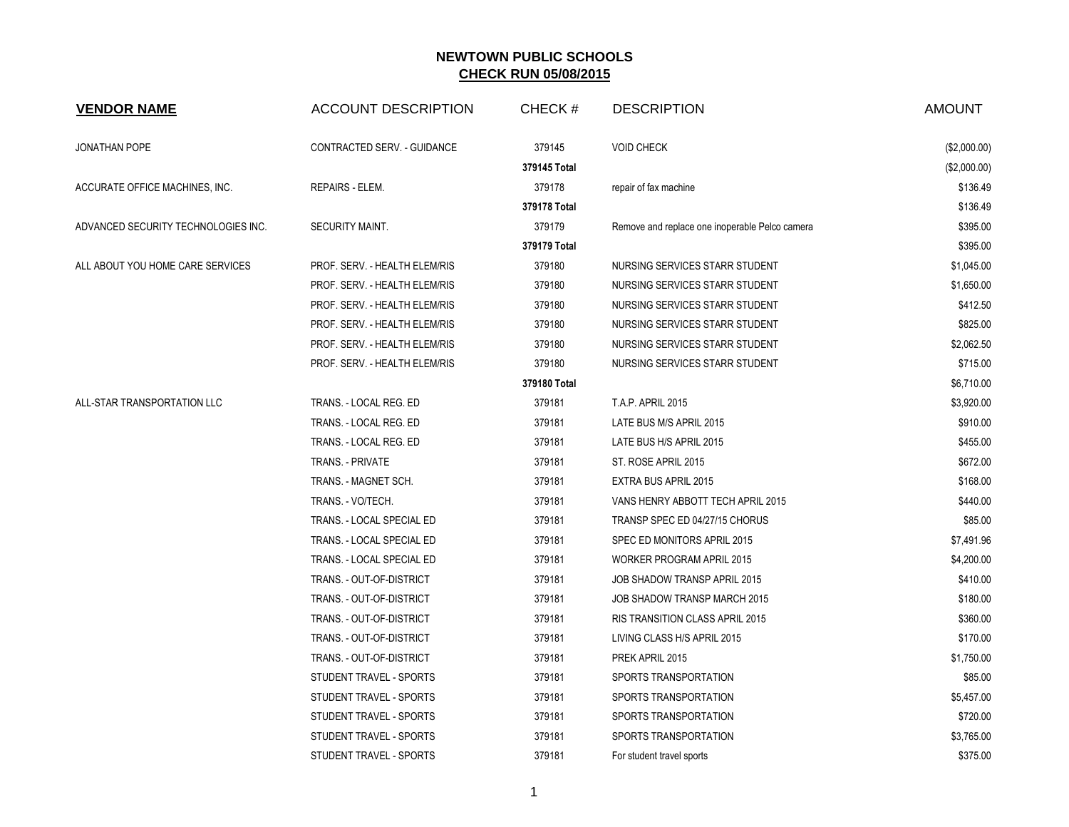| <b>VENDOR NAME</b>                  | <b>ACCOUNT DESCRIPTION</b>    | CHECK#       | <b>DESCRIPTION</b>                             | <b>AMOUNT</b> |
|-------------------------------------|-------------------------------|--------------|------------------------------------------------|---------------|
| <b>JONATHAN POPE</b>                | CONTRACTED SERV. - GUIDANCE   | 379145       | <b>VOID CHECK</b>                              | (\$2,000.00)  |
|                                     |                               | 379145 Total |                                                | (\$2,000.00)  |
| ACCURATE OFFICE MACHINES, INC.      | REPAIRS - ELEM.               | 379178       | repair of fax machine                          | \$136.49      |
|                                     |                               | 379178 Total |                                                | \$136.49      |
| ADVANCED SECURITY TECHNOLOGIES INC. | SECURITY MAINT.               | 379179       | Remove and replace one inoperable Pelco camera | \$395.00      |
|                                     |                               | 379179 Total |                                                | \$395.00      |
| ALL ABOUT YOU HOME CARE SERVICES    | PROF. SERV. - HEALTH ELEM/RIS | 379180       | NURSING SERVICES STARR STUDENT                 | \$1,045.00    |
|                                     | PROF. SERV. - HEALTH ELEM/RIS | 379180       | NURSING SERVICES STARR STUDENT                 | \$1,650.00    |
|                                     | PROF. SERV. - HEALTH ELEM/RIS | 379180       | NURSING SERVICES STARR STUDENT                 | \$412.50      |
|                                     | PROF. SERV. - HEALTH ELEM/RIS | 379180       | NURSING SERVICES STARR STUDENT                 | \$825.00      |
|                                     | PROF. SERV. - HEALTH ELEM/RIS | 379180       | NURSING SERVICES STARR STUDENT                 | \$2,062.50    |
|                                     | PROF. SERV. - HEALTH ELEM/RIS | 379180       | NURSING SERVICES STARR STUDENT                 | \$715.00      |
|                                     |                               | 379180 Total |                                                | \$6,710.00    |
| ALL-STAR TRANSPORTATION LLC         | TRANS. - LOCAL REG. ED        | 379181       | <b>T.A.P. APRIL 2015</b>                       | \$3,920.00    |
|                                     | TRANS. - LOCAL REG. ED        | 379181       | LATE BUS M/S APRIL 2015                        | \$910.00      |
|                                     | TRANS. - LOCAL REG. ED        | 379181       | LATE BUS H/S APRIL 2015                        | \$455.00      |
|                                     | TRANS. - PRIVATE              | 379181       | ST. ROSE APRIL 2015                            | \$672.00      |
|                                     | TRANS. - MAGNET SCH.          | 379181       | EXTRA BUS APRIL 2015                           | \$168.00      |
|                                     | TRANS. - VO/TECH.             | 379181       | VANS HENRY ABBOTT TECH APRIL 2015              | \$440.00      |
|                                     | TRANS. - LOCAL SPECIAL ED     | 379181       | TRANSP SPEC ED 04/27/15 CHORUS                 | \$85.00       |
|                                     | TRANS. - LOCAL SPECIAL ED     | 379181       | SPEC ED MONITORS APRIL 2015                    | \$7,491.96    |
|                                     | TRANS. - LOCAL SPECIAL ED     | 379181       | WORKER PROGRAM APRIL 2015                      | \$4,200.00    |
|                                     | TRANS. - OUT-OF-DISTRICT      | 379181       | JOB SHADOW TRANSP APRIL 2015                   | \$410.00      |
|                                     | TRANS. - OUT-OF-DISTRICT      | 379181       | JOB SHADOW TRANSP MARCH 2015                   | \$180.00      |
|                                     | TRANS. - OUT-OF-DISTRICT      | 379181       | RIS TRANSITION CLASS APRIL 2015                | \$360.00      |
|                                     | TRANS. - OUT-OF-DISTRICT      | 379181       | LIVING CLASS H/S APRIL 2015                    | \$170.00      |
|                                     | TRANS. - OUT-OF-DISTRICT      | 379181       | PREK APRIL 2015                                | \$1,750.00    |
|                                     | STUDENT TRAVEL - SPORTS       | 379181       | SPORTS TRANSPORTATION                          | \$85.00       |
|                                     | STUDENT TRAVEL - SPORTS       | 379181       | SPORTS TRANSPORTATION                          | \$5,457.00    |
|                                     | STUDENT TRAVEL - SPORTS       | 379181       | SPORTS TRANSPORTATION                          | \$720.00      |
|                                     | STUDENT TRAVEL - SPORTS       | 379181       | SPORTS TRANSPORTATION                          | \$3,765.00    |
|                                     | STUDENT TRAVEL - SPORTS       | 379181       | For student travel sports                      | \$375.00      |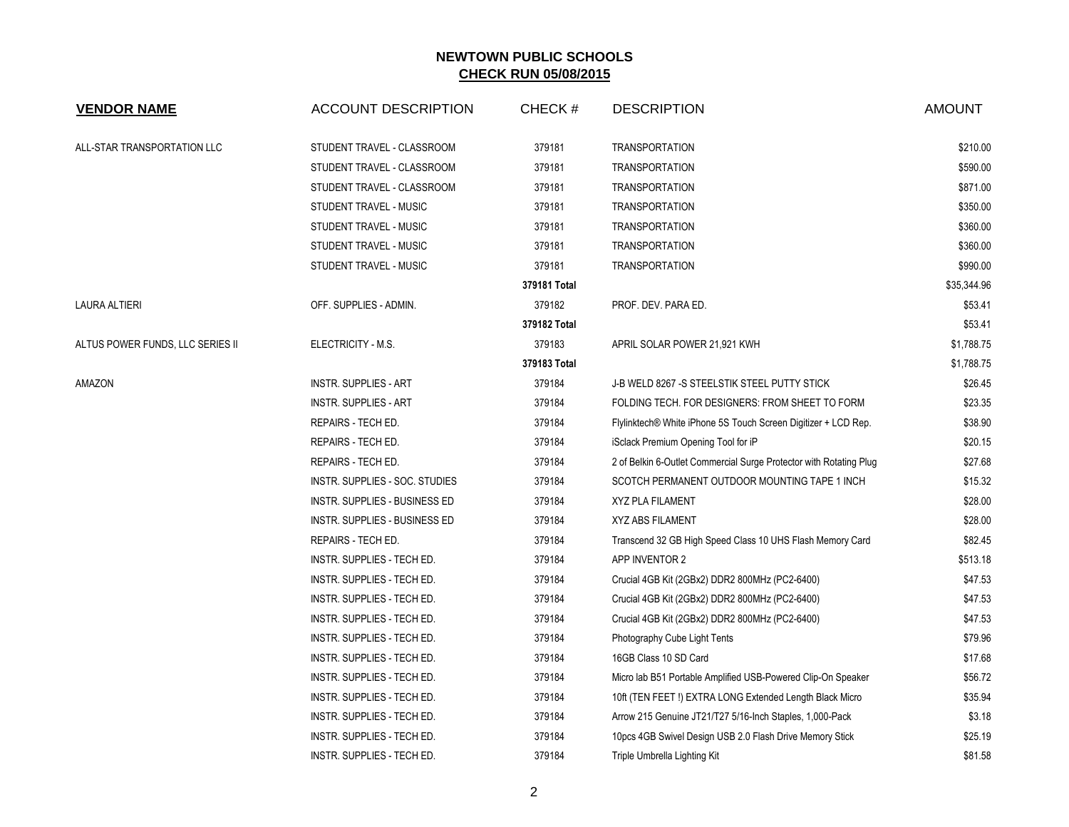| <b>VENDOR NAME</b>               | <b>ACCOUNT DESCRIPTION</b>     | CHECK#       | <b>DESCRIPTION</b>                                                 | <b>AMOUNT</b> |
|----------------------------------|--------------------------------|--------------|--------------------------------------------------------------------|---------------|
| ALL-STAR TRANSPORTATION LLC      | STUDENT TRAVEL - CLASSROOM     | 379181       | <b>TRANSPORTATION</b>                                              | \$210.00      |
|                                  | STUDENT TRAVEL - CLASSROOM     | 379181       | <b>TRANSPORTATION</b>                                              | \$590.00      |
|                                  | STUDENT TRAVEL - CLASSROOM     | 379181       | <b>TRANSPORTATION</b>                                              | \$871.00      |
|                                  | STUDENT TRAVEL - MUSIC         | 379181       | <b>TRANSPORTATION</b>                                              | \$350.00      |
|                                  | STUDENT TRAVEL - MUSIC         | 379181       | <b>TRANSPORTATION</b>                                              | \$360.00      |
|                                  | STUDENT TRAVEL - MUSIC         | 379181       | <b>TRANSPORTATION</b>                                              | \$360.00      |
|                                  | STUDENT TRAVEL - MUSIC         | 379181       | <b>TRANSPORTATION</b>                                              | \$990.00      |
|                                  |                                | 379181 Total |                                                                    | \$35,344.96   |
| LAURA ALTIERI                    | OFF. SUPPLIES - ADMIN.         | 379182       | PROF. DEV. PARA ED.                                                | \$53.41       |
|                                  |                                | 379182 Total |                                                                    | \$53.41       |
| ALTUS POWER FUNDS, LLC SERIES II | ELECTRICITY - M.S.             | 379183       | APRIL SOLAR POWER 21,921 KWH                                       | \$1,788.75    |
|                                  |                                | 379183 Total |                                                                    | \$1,788.75    |
| AMAZON                           | <b>INSTR. SUPPLIES - ART</b>   | 379184       | J-B WELD 8267 -S STEELSTIK STEEL PUTTY STICK                       | \$26.45       |
|                                  | <b>INSTR. SUPPLIES - ART</b>   | 379184       | FOLDING TECH. FOR DESIGNERS: FROM SHEET TO FORM                    | \$23.35       |
|                                  | REPAIRS - TECH ED.             | 379184       | Flylinktech® White iPhone 5S Touch Screen Digitizer + LCD Rep.     | \$38.90       |
|                                  | REPAIRS - TECH ED.             | 379184       | iSclack Premium Opening Tool for iP                                | \$20.15       |
|                                  | REPAIRS - TECH ED.             | 379184       | 2 of Belkin 6-Outlet Commercial Surge Protector with Rotating Plug | \$27.68       |
|                                  | INSTR. SUPPLIES - SOC. STUDIES | 379184       | SCOTCH PERMANENT OUTDOOR MOUNTING TAPE 1 INCH                      | \$15.32       |
|                                  | INSTR. SUPPLIES - BUSINESS ED  | 379184       | <b>XYZ PLA FILAMENT</b>                                            | \$28.00       |
|                                  | INSTR. SUPPLIES - BUSINESS ED  | 379184       | <b>XYZ ABS FILAMENT</b>                                            | \$28.00       |
|                                  | REPAIRS - TECH ED.             | 379184       | Transcend 32 GB High Speed Class 10 UHS Flash Memory Card          | \$82.45       |
|                                  | INSTR. SUPPLIES - TECH ED.     | 379184       | APP INVENTOR 2                                                     | \$513.18      |
|                                  | INSTR. SUPPLIES - TECH ED.     | 379184       | Crucial 4GB Kit (2GBx2) DDR2 800MHz (PC2-6400)                     | \$47.53       |
|                                  | INSTR. SUPPLIES - TECH ED.     | 379184       | Crucial 4GB Kit (2GBx2) DDR2 800MHz (PC2-6400)                     | \$47.53       |
|                                  | INSTR. SUPPLIES - TECH ED.     | 379184       | Crucial 4GB Kit (2GBx2) DDR2 800MHz (PC2-6400)                     | \$47.53       |
|                                  | INSTR. SUPPLIES - TECH ED.     | 379184       | Photography Cube Light Tents                                       | \$79.96       |
|                                  | INSTR. SUPPLIES - TECH ED.     | 379184       | 16GB Class 10 SD Card                                              | \$17.68       |
|                                  | INSTR. SUPPLIES - TECH ED.     | 379184       | Micro lab B51 Portable Amplified USB-Powered Clip-On Speaker       | \$56.72       |
|                                  | INSTR. SUPPLIES - TECH ED.     | 379184       | 10ft (TEN FEET!) EXTRA LONG Extended Length Black Micro            | \$35.94       |
|                                  | INSTR. SUPPLIES - TECH ED.     | 379184       | Arrow 215 Genuine JT21/T27 5/16-Inch Staples, 1,000-Pack           | \$3.18        |
|                                  | INSTR. SUPPLIES - TECH ED.     | 379184       | 10pcs 4GB Swivel Design USB 2.0 Flash Drive Memory Stick           | \$25.19       |
|                                  | INSTR. SUPPLIES - TECH ED.     | 379184       | Triple Umbrella Lighting Kit                                       | \$81.58       |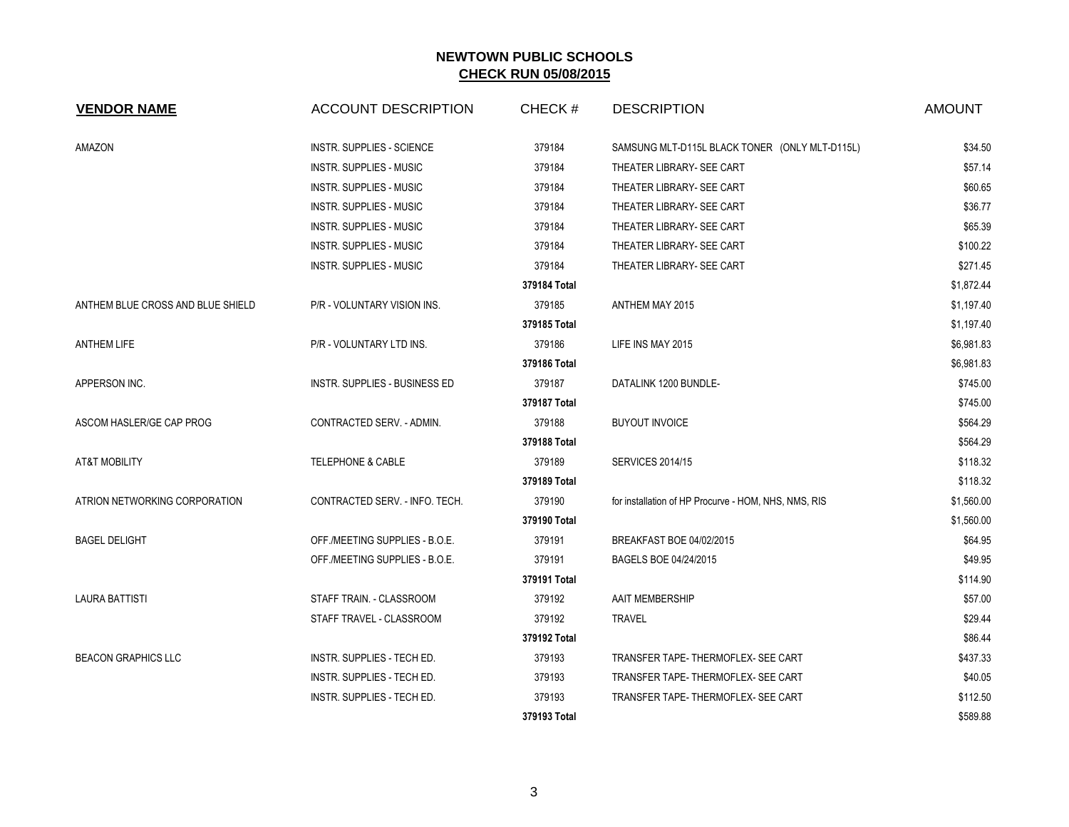| <b>VENDOR NAME</b>                | <b>ACCOUNT DESCRIPTION</b>       | CHECK#       | <b>DESCRIPTION</b>                                   | <b>AMOUNT</b> |
|-----------------------------------|----------------------------------|--------------|------------------------------------------------------|---------------|
| AMAZON                            | <b>INSTR. SUPPLIES - SCIENCE</b> | 379184       | SAMSUNG MLT-D115L BLACK TONER (ONLY MLT-D115L)       | \$34.50       |
|                                   | INSTR. SUPPLIES - MUSIC          | 379184       | THEATER LIBRARY- SEE CART                            | \$57.14       |
|                                   | <b>INSTR. SUPPLIES - MUSIC</b>   | 379184       | THEATER LIBRARY- SEE CART                            | \$60.65       |
|                                   | <b>INSTR. SUPPLIES - MUSIC</b>   | 379184       | THEATER LIBRARY- SEE CART                            | \$36.77       |
|                                   | INSTR. SUPPLIES - MUSIC          | 379184       | THEATER LIBRARY- SEE CART                            | \$65.39       |
|                                   | INSTR. SUPPLIES - MUSIC          | 379184       | THEATER LIBRARY- SEE CART                            | \$100.22      |
|                                   | INSTR. SUPPLIES - MUSIC          | 379184       | THEATER LIBRARY- SEE CART                            | \$271.45      |
|                                   |                                  | 379184 Total |                                                      | \$1,872.44    |
| ANTHEM BLUE CROSS AND BLUE SHIELD | P/R - VOLUNTARY VISION INS.      | 379185       | ANTHEM MAY 2015                                      | \$1,197.40    |
|                                   |                                  | 379185 Total |                                                      | \$1,197.40    |
| <b>ANTHEM LIFE</b>                | P/R - VOLUNTARY LTD INS.         | 379186       | LIFE INS MAY 2015                                    | \$6,981.83    |
|                                   |                                  | 379186 Total |                                                      | \$6,981.83    |
| APPERSON INC.                     | INSTR. SUPPLIES - BUSINESS ED    | 379187       | DATALINK 1200 BUNDLE-                                | \$745.00      |
|                                   |                                  | 379187 Total |                                                      | \$745.00      |
| ASCOM HASLER/GE CAP PROG          | CONTRACTED SERV. - ADMIN.        | 379188       | <b>BUYOUT INVOICE</b>                                | \$564.29      |
|                                   |                                  | 379188 Total |                                                      | \$564.29      |
| <b>AT&amp;T MOBILITY</b>          | <b>TELEPHONE &amp; CABLE</b>     | 379189       | <b>SERVICES 2014/15</b>                              | \$118.32      |
|                                   |                                  | 379189 Total |                                                      | \$118.32      |
| ATRION NETWORKING CORPORATION     | CONTRACTED SERV. - INFO. TECH.   | 379190       | for installation of HP Procurve - HOM, NHS, NMS, RIS | \$1,560.00    |
|                                   |                                  | 379190 Total |                                                      | \$1,560.00    |
| <b>BAGEL DELIGHT</b>              | OFF./MEETING SUPPLIES - B.O.E.   | 379191       | BREAKFAST BOE 04/02/2015                             | \$64.95       |
|                                   | OFF./MEETING SUPPLIES - B.O.E.   | 379191       | BAGELS BOE 04/24/2015                                | \$49.95       |
|                                   |                                  | 379191 Total |                                                      | \$114.90      |
| <b>LAURA BATTISTI</b>             | STAFF TRAIN. - CLASSROOM         | 379192       | AAIT MEMBERSHIP                                      | \$57.00       |
|                                   | STAFF TRAVEL - CLASSROOM         | 379192       | <b>TRAVEL</b>                                        | \$29.44       |
|                                   |                                  | 379192 Total |                                                      | \$86.44       |
| <b>BEACON GRAPHICS LLC</b>        | INSTR. SUPPLIES - TECH ED.       | 379193       | TRANSFER TAPE- THERMOFLEX- SEE CART                  | \$437.33      |
|                                   | INSTR. SUPPLIES - TECH ED.       | 379193       | TRANSFER TAPE-THERMOFLEX- SEE CART                   | \$40.05       |
|                                   | INSTR. SUPPLIES - TECH ED.       | 379193       | TRANSFER TAPE-THERMOFLEX- SEE CART                   | \$112.50      |
|                                   |                                  | 379193 Total |                                                      | \$589.88      |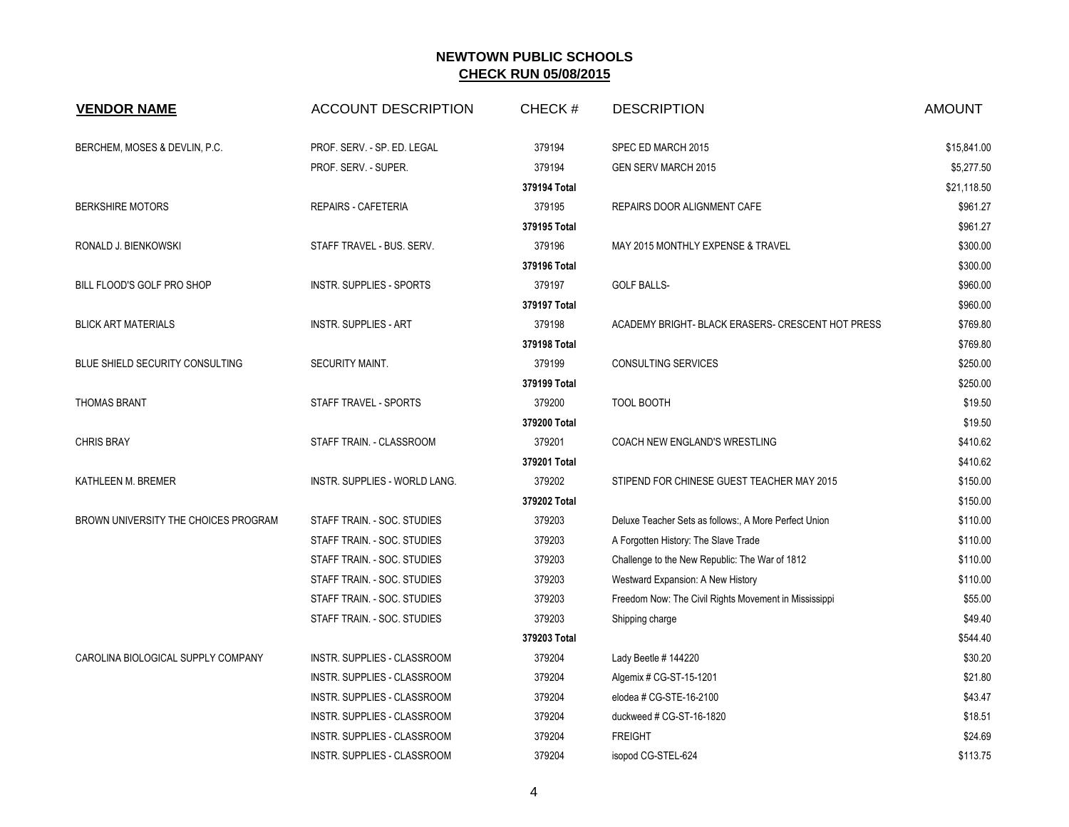| <b>VENDOR NAME</b>                   | <b>ACCOUNT DESCRIPTION</b>    | CHECK#       | <b>DESCRIPTION</b>                                    | <b>AMOUNT</b> |
|--------------------------------------|-------------------------------|--------------|-------------------------------------------------------|---------------|
| BERCHEM, MOSES & DEVLIN, P.C.        | PROF. SERV. - SP. ED. LEGAL   | 379194       | SPEC ED MARCH 2015                                    | \$15,841.00   |
|                                      | PROF. SERV. - SUPER.          | 379194       | <b>GEN SERV MARCH 2015</b>                            | \$5,277.50    |
|                                      |                               | 379194 Total |                                                       | \$21,118.50   |
| <b>BERKSHIRE MOTORS</b>              | <b>REPAIRS - CAFETERIA</b>    | 379195       | REPAIRS DOOR ALIGNMENT CAFE                           | \$961.27      |
|                                      |                               | 379195 Total |                                                       | \$961.27      |
| RONALD J. BIENKOWSKI                 | STAFF TRAVEL - BUS. SERV.     | 379196       | MAY 2015 MONTHLY EXPENSE & TRAVEL                     | \$300.00      |
|                                      |                               | 379196 Total |                                                       | \$300.00      |
| BILL FLOOD'S GOLF PRO SHOP           | INSTR. SUPPLIES - SPORTS      | 379197       | <b>GOLF BALLS-</b>                                    | \$960.00      |
|                                      |                               | 379197 Total |                                                       | \$960.00      |
| <b>BLICK ART MATERIALS</b>           | <b>INSTR. SUPPLIES - ART</b>  | 379198       | ACADEMY BRIGHT- BLACK ERASERS- CRESCENT HOT PRESS     | \$769.80      |
|                                      |                               | 379198 Total |                                                       | \$769.80      |
| BLUE SHIELD SECURITY CONSULTING      | SECURITY MAINT.               | 379199       | <b>CONSULTING SERVICES</b>                            | \$250.00      |
|                                      |                               | 379199 Total |                                                       | \$250.00      |
| <b>THOMAS BRANT</b>                  | STAFF TRAVEL - SPORTS         | 379200       | <b>TOOL BOOTH</b>                                     | \$19.50       |
|                                      |                               | 379200 Total |                                                       | \$19.50       |
| <b>CHRIS BRAY</b>                    | STAFF TRAIN. - CLASSROOM      | 379201       | COACH NEW ENGLAND'S WRESTLING                         | \$410.62      |
|                                      |                               | 379201 Total |                                                       | \$410.62      |
| KATHLEEN M. BREMER                   | INSTR. SUPPLIES - WORLD LANG. | 379202       | STIPEND FOR CHINESE GUEST TEACHER MAY 2015            | \$150.00      |
|                                      |                               | 379202 Total |                                                       | \$150.00      |
| BROWN UNIVERSITY THE CHOICES PROGRAM | STAFF TRAIN. - SOC. STUDIES   | 379203       | Deluxe Teacher Sets as follows:, A More Perfect Union | \$110.00      |
|                                      | STAFF TRAIN. - SOC. STUDIES   | 379203       | A Forgotten History: The Slave Trade                  | \$110.00      |
|                                      | STAFF TRAIN. - SOC. STUDIES   | 379203       | Challenge to the New Republic: The War of 1812        | \$110.00      |
|                                      | STAFF TRAIN. - SOC. STUDIES   | 379203       | Westward Expansion: A New History                     | \$110.00      |
|                                      | STAFF TRAIN. - SOC. STUDIES   | 379203       | Freedom Now: The Civil Rights Movement in Mississippi | \$55.00       |
|                                      | STAFF TRAIN. - SOC. STUDIES   | 379203       | Shipping charge                                       | \$49.40       |
|                                      |                               | 379203 Total |                                                       | \$544.40      |
| CAROLINA BIOLOGICAL SUPPLY COMPANY   | INSTR. SUPPLIES - CLASSROOM   | 379204       | Lady Beetle #144220                                   | \$30.20       |
|                                      | INSTR. SUPPLIES - CLASSROOM   | 379204       | Algemix # CG-ST-15-1201                               | \$21.80       |
|                                      | INSTR. SUPPLIES - CLASSROOM   | 379204       | elodea # CG-STE-16-2100                               | \$43.47       |
|                                      | INSTR. SUPPLIES - CLASSROOM   | 379204       | duckweed # CG-ST-16-1820                              | \$18.51       |
|                                      | INSTR. SUPPLIES - CLASSROOM   | 379204       | <b>FREIGHT</b>                                        | \$24.69       |
|                                      | INSTR. SUPPLIES - CLASSROOM   | 379204       | isopod CG-STEL-624                                    | \$113.75      |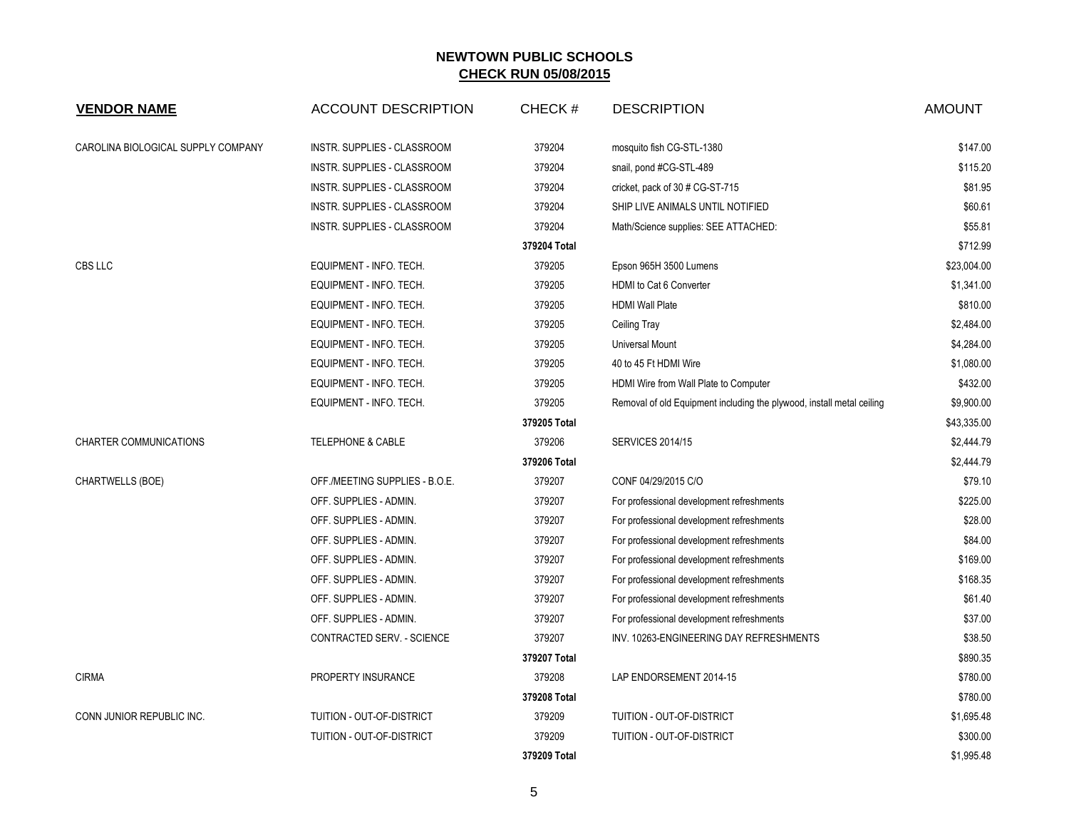| <b>VENDOR NAME</b>                 | <b>ACCOUNT DESCRIPTION</b>     | CHECK#       | <b>DESCRIPTION</b>                                                    | <b>AMOUNT</b> |
|------------------------------------|--------------------------------|--------------|-----------------------------------------------------------------------|---------------|
| CAROLINA BIOLOGICAL SUPPLY COMPANY | INSTR. SUPPLIES - CLASSROOM    | 379204       | mosquito fish CG-STL-1380                                             | \$147.00      |
|                                    | INSTR. SUPPLIES - CLASSROOM    | 379204       | snail, pond #CG-STL-489                                               | \$115.20      |
|                                    | INSTR. SUPPLIES - CLASSROOM    | 379204       | cricket, pack of 30 # CG-ST-715                                       | \$81.95       |
|                                    | INSTR. SUPPLIES - CLASSROOM    | 379204       | SHIP LIVE ANIMALS UNTIL NOTIFIED                                      | \$60.61       |
|                                    | INSTR. SUPPLIES - CLASSROOM    | 379204       | Math/Science supplies: SEE ATTACHED:                                  | \$55.81       |
|                                    |                                | 379204 Total |                                                                       | \$712.99      |
| CBS LLC                            | EQUIPMENT - INFO. TECH.        | 379205       | Epson 965H 3500 Lumens                                                | \$23,004.00   |
|                                    | EQUIPMENT - INFO. TECH.        | 379205       | HDMI to Cat 6 Converter                                               | \$1,341.00    |
|                                    | EQUIPMENT - INFO. TECH.        | 379205       | <b>HDMI Wall Plate</b>                                                | \$810.00      |
|                                    | EQUIPMENT - INFO. TECH.        | 379205       | Ceiling Tray                                                          | \$2,484.00    |
|                                    | EQUIPMENT - INFO. TECH.        | 379205       | <b>Universal Mount</b>                                                | \$4,284.00    |
|                                    | EQUIPMENT - INFO. TECH.        | 379205       | 40 to 45 Ft HDMI Wire                                                 | \$1,080.00    |
|                                    | EQUIPMENT - INFO. TECH.        | 379205       | HDMI Wire from Wall Plate to Computer                                 | \$432.00      |
|                                    | EQUIPMENT - INFO. TECH.        | 379205       | Removal of old Equipment including the plywood, install metal ceiling | \$9,900.00    |
|                                    |                                | 379205 Total |                                                                       | \$43,335.00   |
| <b>CHARTER COMMUNICATIONS</b>      | <b>TELEPHONE &amp; CABLE</b>   | 379206       | <b>SERVICES 2014/15</b>                                               | \$2,444.79    |
|                                    |                                | 379206 Total |                                                                       | \$2,444.79    |
| <b>CHARTWELLS (BOE)</b>            | OFF./MEETING SUPPLIES - B.O.E. | 379207       | CONF 04/29/2015 C/O                                                   | \$79.10       |
|                                    | OFF. SUPPLIES - ADMIN.         | 379207       | For professional development refreshments                             | \$225.00      |
|                                    | OFF. SUPPLIES - ADMIN.         | 379207       | For professional development refreshments                             | \$28.00       |
|                                    | OFF. SUPPLIES - ADMIN.         | 379207       | For professional development refreshments                             | \$84.00       |
|                                    | OFF. SUPPLIES - ADMIN.         | 379207       | For professional development refreshments                             | \$169.00      |
|                                    | OFF. SUPPLIES - ADMIN.         | 379207       | For professional development refreshments                             | \$168.35      |
|                                    | OFF. SUPPLIES - ADMIN.         | 379207       | For professional development refreshments                             | \$61.40       |
|                                    | OFF. SUPPLIES - ADMIN.         | 379207       | For professional development refreshments                             | \$37.00       |
|                                    | CONTRACTED SERV. - SCIENCE     | 379207       | INV. 10263-ENGINEERING DAY REFRESHMENTS                               | \$38.50       |
|                                    |                                | 379207 Total |                                                                       | \$890.35      |
| <b>CIRMA</b>                       | PROPERTY INSURANCE             | 379208       | LAP ENDORSEMENT 2014-15                                               | \$780.00      |
|                                    |                                | 379208 Total |                                                                       | \$780.00      |
| CONN JUNIOR REPUBLIC INC.          | TUITION - OUT-OF-DISTRICT      | 379209       | TUITION - OUT-OF-DISTRICT                                             | \$1,695.48    |
|                                    | TUITION - OUT-OF-DISTRICT      | 379209       | TUITION - OUT-OF-DISTRICT                                             | \$300.00      |
|                                    |                                | 379209 Total |                                                                       | \$1,995.48    |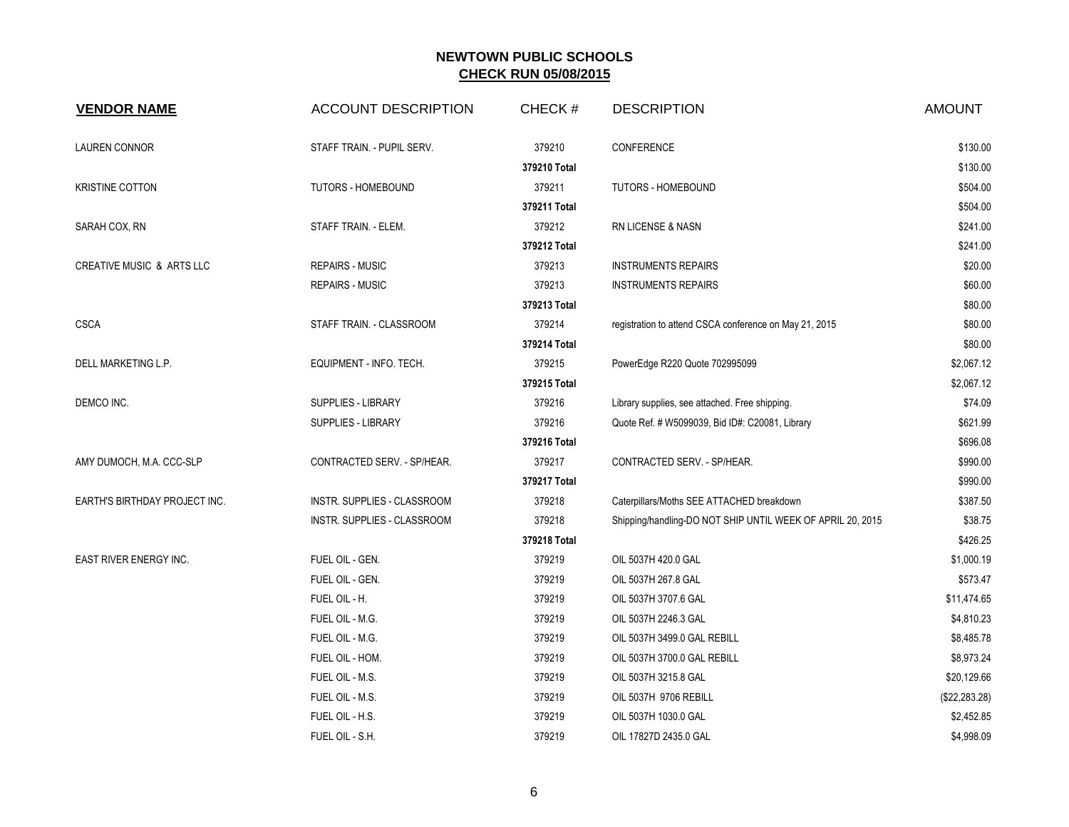| <b>VENDOR NAME</b>            | <b>ACCOUNT DESCRIPTION</b>  | CHECK#       | <b>DESCRIPTION</b>                                         | <b>AMOUNT</b>  |
|-------------------------------|-----------------------------|--------------|------------------------------------------------------------|----------------|
| <b>LAUREN CONNOR</b>          | STAFF TRAIN. - PUPIL SERV.  | 379210       | CONFERENCE                                                 | \$130.00       |
|                               |                             | 379210 Total |                                                            | \$130.00       |
| <b>KRISTINE COTTON</b>        | <b>TUTORS - HOMEBOUND</b>   | 379211       | TUTORS - HOMEBOUND                                         | \$504.00       |
|                               |                             | 379211 Total |                                                            | \$504.00       |
| SARAH COX, RN                 | STAFF TRAIN. - ELEM.        | 379212       | RN LICENSE & NASN                                          | \$241.00       |
|                               |                             | 379212 Total |                                                            | \$241.00       |
| CREATIVE MUSIC & ARTS LLC     | <b>REPAIRS - MUSIC</b>      | 379213       | <b>INSTRUMENTS REPAIRS</b>                                 | \$20.00        |
|                               | <b>REPAIRS - MUSIC</b>      | 379213       | <b>INSTRUMENTS REPAIRS</b>                                 | \$60.00        |
|                               |                             | 379213 Total |                                                            | \$80.00        |
| <b>CSCA</b>                   | STAFF TRAIN. - CLASSROOM    | 379214       | registration to attend CSCA conference on May 21, 2015     | \$80.00        |
|                               |                             | 379214 Total |                                                            | \$80.00        |
| DELL MARKETING L.P.           | EQUIPMENT - INFO. TECH.     | 379215       | PowerEdge R220 Quote 702995099                             | \$2,067.12     |
|                               |                             | 379215 Total |                                                            | \$2,067.12     |
| DEMCO INC.                    | SUPPLIES - LIBRARY          | 379216       | Library supplies, see attached. Free shipping.             | \$74.09        |
|                               | <b>SUPPLIES - LIBRARY</b>   | 379216       | Quote Ref. # W5099039, Bid ID#: C20081, Library            | \$621.99       |
|                               |                             | 379216 Total |                                                            | \$696.08       |
| AMY DUMOCH, M.A. CCC-SLP      | CONTRACTED SERV. - SP/HEAR. | 379217       | CONTRACTED SERV. - SP/HEAR.                                | \$990.00       |
|                               |                             | 379217 Total |                                                            | \$990.00       |
| EARTH'S BIRTHDAY PROJECT INC. | INSTR. SUPPLIES - CLASSROOM | 379218       | Caterpillars/Moths SEE ATTACHED breakdown                  | \$387.50       |
|                               | INSTR. SUPPLIES - CLASSROOM | 379218       | Shipping/handling-DO NOT SHIP UNTIL WEEK OF APRIL 20, 2015 | \$38.75        |
|                               |                             | 379218 Total |                                                            | \$426.25       |
| EAST RIVER ENERGY INC.        | FUEL OIL - GEN.             | 379219       | OIL 5037H 420.0 GAL                                        | \$1,000.19     |
|                               | FUEL OIL - GEN.             | 379219       | OIL 5037H 267.8 GAL                                        | \$573.47       |
|                               | FUEL OIL - H.               | 379219       | OIL 5037H 3707.6 GAL                                       | \$11,474.65    |
|                               | FUEL OIL - M.G.             | 379219       | OIL 5037H 2246.3 GAL                                       | \$4,810.23     |
|                               | FUEL OIL - M.G.             | 379219       | OIL 5037H 3499.0 GAL REBILL                                | \$8,485.78     |
|                               | FUEL OIL - HOM.             | 379219       | OIL 5037H 3700.0 GAL REBILL                                | \$8,973.24     |
|                               | FUEL OIL - M.S.             | 379219       | OIL 5037H 3215.8 GAL                                       | \$20,129.66    |
|                               | FUEL OIL - M.S.             | 379219       | OIL 5037H 9706 REBILL                                      | (\$22, 283.28) |
|                               | FUEL OIL - H.S.             | 379219       | OIL 5037H 1030.0 GAL                                       | \$2,452.85     |
|                               | FUEL OIL - S.H.             | 379219       | OIL 17827D 2435.0 GAL                                      | \$4,998.09     |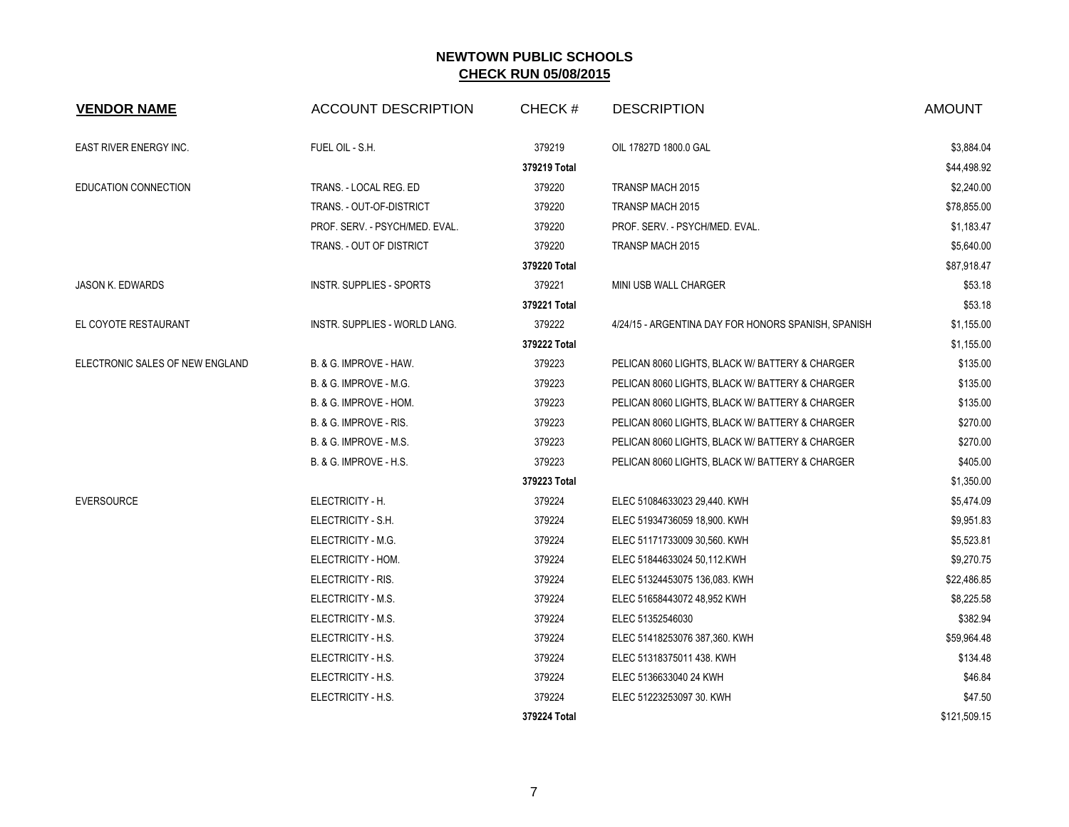| <b>VENDOR NAME</b>              | <b>ACCOUNT DESCRIPTION</b>     | CHECK#       | <b>DESCRIPTION</b>                                  | <b>AMOUNT</b> |
|---------------------------------|--------------------------------|--------------|-----------------------------------------------------|---------------|
| EAST RIVER ENERGY INC.          | FUEL OIL - S.H.                | 379219       | OIL 17827D 1800.0 GAL                               | \$3,884.04    |
|                                 |                                | 379219 Total |                                                     | \$44,498.92   |
| EDUCATION CONNECTION            | TRANS. - LOCAL REG. ED         | 379220       | TRANSP MACH 2015                                    | \$2,240.00    |
|                                 | TRANS. - OUT-OF-DISTRICT       | 379220       | TRANSP MACH 2015                                    | \$78,855.00   |
|                                 | PROF. SERV. - PSYCH/MED. EVAL. | 379220       | PROF. SERV. - PSYCH/MED. EVAL.                      | \$1,183.47    |
|                                 | TRANS. - OUT OF DISTRICT       | 379220       | TRANSP MACH 2015                                    | \$5,640.00    |
|                                 |                                | 379220 Total |                                                     | \$87,918.47   |
| <b>JASON K. EDWARDS</b>         | INSTR. SUPPLIES - SPORTS       | 379221       | MINI USB WALL CHARGER                               | \$53.18       |
|                                 |                                | 379221 Total |                                                     | \$53.18       |
| EL COYOTE RESTAURANT            | INSTR. SUPPLIES - WORLD LANG.  | 379222       | 4/24/15 - ARGENTINA DAY FOR HONORS SPANISH, SPANISH | \$1,155.00    |
|                                 |                                | 379222 Total |                                                     | \$1,155.00    |
| ELECTRONIC SALES OF NEW ENGLAND | B. & G. IMPROVE - HAW.         | 379223       | PELICAN 8060 LIGHTS, BLACK W/ BATTERY & CHARGER     | \$135.00      |
|                                 | B. & G. IMPROVE - M.G.         | 379223       | PELICAN 8060 LIGHTS, BLACK W/ BATTERY & CHARGER     | \$135.00      |
|                                 | B. & G. IMPROVE - HOM.         | 379223       | PELICAN 8060 LIGHTS, BLACK W/ BATTERY & CHARGER     | \$135.00      |
|                                 | B. & G. IMPROVE - RIS.         | 379223       | PELICAN 8060 LIGHTS, BLACK W/ BATTERY & CHARGER     | \$270.00      |
|                                 | B. & G. IMPROVE - M.S.         | 379223       | PELICAN 8060 LIGHTS, BLACK W/ BATTERY & CHARGER     | \$270.00      |
|                                 | B. & G. IMPROVE - H.S.         | 379223       | PELICAN 8060 LIGHTS, BLACK W/ BATTERY & CHARGER     | \$405.00      |
|                                 |                                | 379223 Total |                                                     | \$1,350.00    |
| <b>EVERSOURCE</b>               | ELECTRICITY - H.               | 379224       | ELEC 51084633023 29,440. KWH                        | \$5,474.09    |
|                                 | ELECTRICITY - S.H.             | 379224       | ELEC 51934736059 18,900. KWH                        | \$9,951.83    |
|                                 | ELECTRICITY - M.G.             | 379224       | ELEC 51171733009 30,560. KWH                        | \$5,523.81    |
|                                 | ELECTRICITY - HOM.             | 379224       | ELEC 51844633024 50,112.KWH                         | \$9,270.75    |
|                                 | ELECTRICITY - RIS.             | 379224       | ELEC 51324453075 136,083. KWH                       | \$22,486.85   |
|                                 | ELECTRICITY - M.S.             | 379224       | ELEC 51658443072 48,952 KWH                         | \$8,225.58    |
|                                 | ELECTRICITY - M.S.             | 379224       | ELEC 51352546030                                    | \$382.94      |
|                                 | ELECTRICITY - H.S.             | 379224       | ELEC 51418253076 387,360. KWH                       | \$59,964.48   |
|                                 | ELECTRICITY - H.S.             | 379224       | ELEC 51318375011 438. KWH                           | \$134.48      |
|                                 | ELECTRICITY - H.S.             | 379224       | ELEC 5136633040 24 KWH                              | \$46.84       |
|                                 | ELECTRICITY - H.S.             | 379224       | ELEC 51223253097 30. KWH                            | \$47.50       |
|                                 |                                | 379224 Total |                                                     | \$121,509.15  |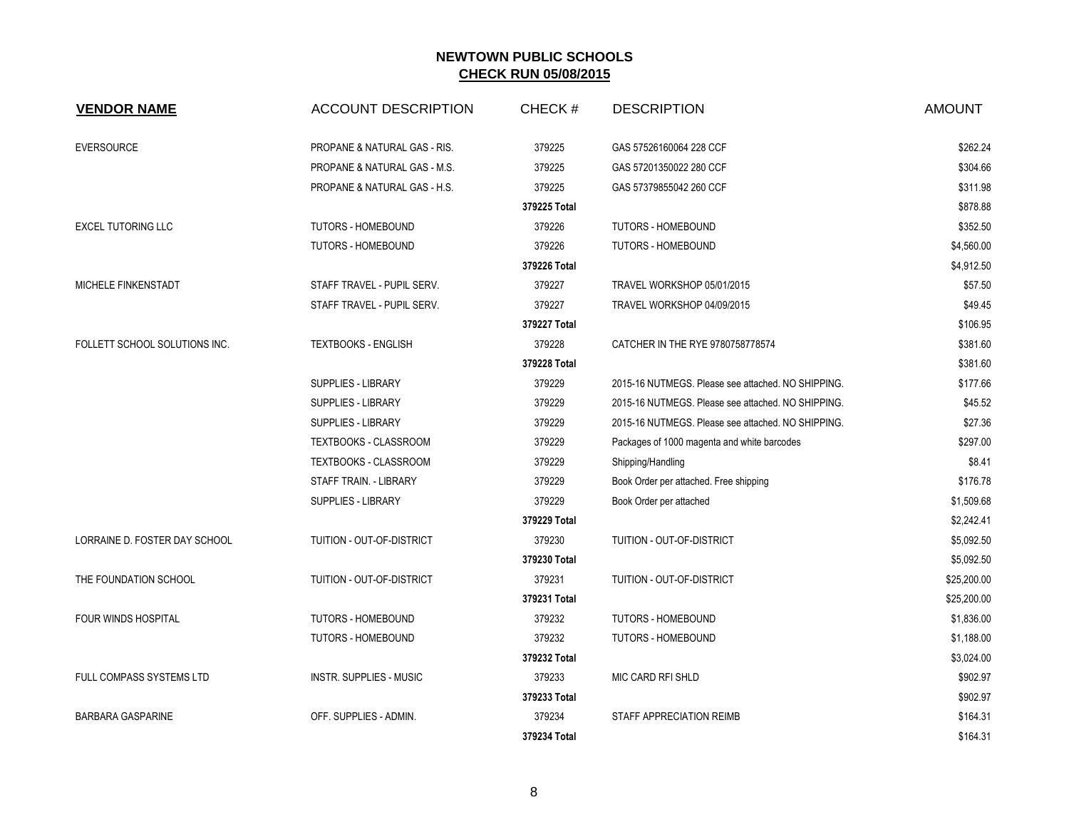| <b>VENDOR NAME</b>            | <b>ACCOUNT DESCRIPTION</b>     | CHECK#       | <b>DESCRIPTION</b>                                 | <b>AMOUNT</b> |
|-------------------------------|--------------------------------|--------------|----------------------------------------------------|---------------|
| <b>EVERSOURCE</b>             | PROPANE & NATURAL GAS - RIS.   | 379225       | GAS 57526160064 228 CCF                            | \$262.24      |
|                               | PROPANE & NATURAL GAS - M.S.   | 379225       | GAS 57201350022 280 CCF                            | \$304.66      |
|                               | PROPANE & NATURAL GAS - H.S.   | 379225       | GAS 57379855042 260 CCF                            | \$311.98      |
|                               |                                | 379225 Total |                                                    | \$878.88      |
| <b>EXCEL TUTORING LLC</b>     | <b>TUTORS - HOMEBOUND</b>      | 379226       | <b>TUTORS - HOMEBOUND</b>                          | \$352.50      |
|                               | TUTORS - HOMEBOUND             | 379226       | <b>TUTORS - HOMEBOUND</b>                          | \$4,560.00    |
|                               |                                | 379226 Total |                                                    | \$4,912.50    |
| MICHELE FINKENSTADT           | STAFF TRAVEL - PUPIL SERV.     | 379227       | TRAVEL WORKSHOP 05/01/2015                         | \$57.50       |
|                               | STAFF TRAVEL - PUPIL SERV.     | 379227       | TRAVEL WORKSHOP 04/09/2015                         | \$49.45       |
|                               |                                | 379227 Total |                                                    | \$106.95      |
| FOLLETT SCHOOL SOLUTIONS INC. | <b>TEXTBOOKS - ENGLISH</b>     | 379228       | CATCHER IN THE RYE 9780758778574                   | \$381.60      |
|                               |                                | 379228 Total |                                                    | \$381.60      |
|                               | SUPPLIES - LIBRARY             | 379229       | 2015-16 NUTMEGS. Please see attached. NO SHIPPING. | \$177.66      |
|                               | <b>SUPPLIES - LIBRARY</b>      | 379229       | 2015-16 NUTMEGS. Please see attached. NO SHIPPING. | \$45.52       |
|                               | SUPPLIES - LIBRARY             | 379229       | 2015-16 NUTMEGS. Please see attached. NO SHIPPING. | \$27.36       |
|                               | TEXTBOOKS - CLASSROOM          | 379229       | Packages of 1000 magenta and white barcodes        | \$297.00      |
|                               | TEXTBOOKS - CLASSROOM          | 379229       | Shipping/Handling                                  | \$8.41        |
|                               | <b>STAFF TRAIN. - LIBRARY</b>  | 379229       | Book Order per attached. Free shipping             | \$176.78      |
|                               | SUPPLIES - LIBRARY             | 379229       | Book Order per attached                            | \$1,509.68    |
|                               |                                | 379229 Total |                                                    | \$2,242.41    |
| LORRAINE D. FOSTER DAY SCHOOL | TUITION - OUT-OF-DISTRICT      | 379230       | <b>TUITION - OUT-OF-DISTRICT</b>                   | \$5,092.50    |
|                               |                                | 379230 Total |                                                    | \$5,092.50    |
| THE FOUNDATION SCHOOL         | TUITION - OUT-OF-DISTRICT      | 379231       | TUITION - OUT-OF-DISTRICT                          | \$25,200.00   |
|                               |                                | 379231 Total |                                                    | \$25,200.00   |
| FOUR WINDS HOSPITAL           | <b>TUTORS - HOMEBOUND</b>      | 379232       | TUTORS - HOMEBOUND                                 | \$1,836.00    |
|                               | <b>TUTORS - HOMEBOUND</b>      | 379232       | <b>TUTORS - HOMEBOUND</b>                          | \$1,188.00    |
|                               |                                | 379232 Total |                                                    | \$3,024.00    |
| FULL COMPASS SYSTEMS LTD      | <b>INSTR. SUPPLIES - MUSIC</b> | 379233       | MIC CARD RFI SHLD                                  | \$902.97      |
|                               |                                | 379233 Total |                                                    | \$902.97      |
| BARBARA GASPARINE             | OFF. SUPPLIES - ADMIN.         | 379234       | STAFF APPRECIATION REIMB                           | \$164.31      |
|                               |                                | 379234 Total |                                                    | \$164.31      |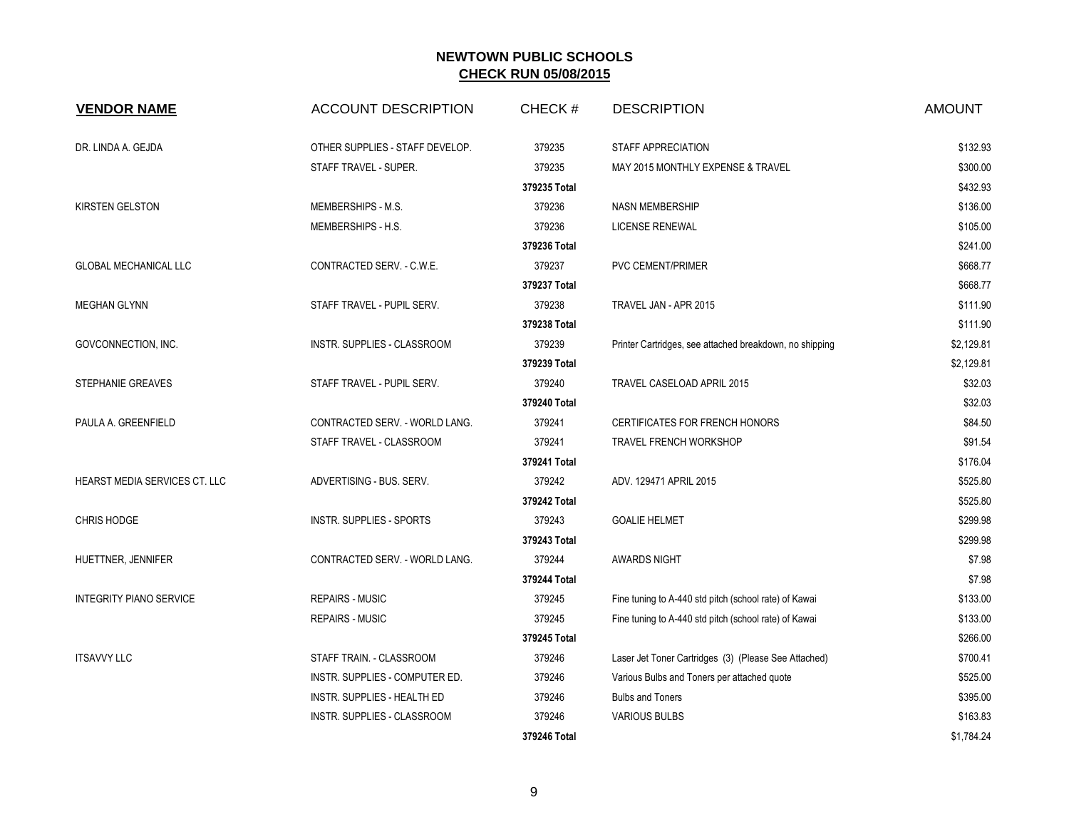| <b>VENDOR NAME</b>             | <b>ACCOUNT DESCRIPTION</b>      | CHECK#       | <b>DESCRIPTION</b>                                      | <b>AMOUNT</b> |
|--------------------------------|---------------------------------|--------------|---------------------------------------------------------|---------------|
| DR. LINDA A. GEJDA             | OTHER SUPPLIES - STAFF DEVELOP. | 379235       | STAFF APPRECIATION                                      | \$132.93      |
|                                | STAFF TRAVEL - SUPER.           | 379235       | MAY 2015 MONTHLY EXPENSE & TRAVEL                       | \$300.00      |
|                                |                                 | 379235 Total |                                                         | \$432.93      |
| <b>KIRSTEN GELSTON</b>         | MEMBERSHIPS - M.S.              | 379236       | <b>NASN MEMBERSHIP</b>                                  | \$136.00      |
|                                | MEMBERSHIPS - H.S.              | 379236       | <b>LICENSE RENEWAL</b>                                  | \$105.00      |
|                                |                                 | 379236 Total |                                                         | \$241.00      |
| <b>GLOBAL MECHANICAL LLC</b>   | CONTRACTED SERV. - C.W.E.       | 379237       | PVC CEMENT/PRIMER                                       | \$668.77      |
|                                |                                 | 379237 Total |                                                         | \$668.77      |
| <b>MEGHAN GLYNN</b>            | STAFF TRAVEL - PUPIL SERV.      | 379238       | TRAVEL JAN - APR 2015                                   | \$111.90      |
|                                |                                 | 379238 Total |                                                         | \$111.90      |
| GOVCONNECTION, INC.            | INSTR. SUPPLIES - CLASSROOM     | 379239       | Printer Cartridges, see attached breakdown, no shipping | \$2,129.81    |
|                                |                                 | 379239 Total |                                                         | \$2,129.81    |
| STEPHANIE GREAVES              | STAFF TRAVEL - PUPIL SERV.      | 379240       | TRAVEL CASELOAD APRIL 2015                              | \$32.03       |
|                                |                                 | 379240 Total |                                                         | \$32.03       |
| PAULA A. GREENFIELD            | CONTRACTED SERV. - WORLD LANG.  | 379241       | <b>CERTIFICATES FOR FRENCH HONORS</b>                   | \$84.50       |
|                                | STAFF TRAVEL - CLASSROOM        | 379241       | <b>TRAVEL FRENCH WORKSHOP</b>                           | \$91.54       |
|                                |                                 | 379241 Total |                                                         | \$176.04      |
| HEARST MEDIA SERVICES CT. LLC  | ADVERTISING - BUS. SERV.        | 379242       | ADV. 129471 APRIL 2015                                  | \$525.80      |
|                                |                                 | 379242 Total |                                                         | \$525.80      |
| <b>CHRIS HODGE</b>             | INSTR. SUPPLIES - SPORTS        | 379243       | <b>GOALIE HELMET</b>                                    | \$299.98      |
|                                |                                 | 379243 Total |                                                         | \$299.98      |
| HUETTNER, JENNIFER             | CONTRACTED SERV. - WORLD LANG.  | 379244       | <b>AWARDS NIGHT</b>                                     | \$7.98        |
|                                |                                 | 379244 Total |                                                         | \$7.98        |
| <b>INTEGRITY PIANO SERVICE</b> | <b>REPAIRS - MUSIC</b>          | 379245       | Fine tuning to A-440 std pitch (school rate) of Kawai   | \$133.00      |
|                                | <b>REPAIRS - MUSIC</b>          | 379245       | Fine tuning to A-440 std pitch (school rate) of Kawai   | \$133.00      |
|                                |                                 | 379245 Total |                                                         | \$266.00      |
| <b>ITSAVVY LLC</b>             | STAFF TRAIN. - CLASSROOM        | 379246       | Laser Jet Toner Cartridges (3) (Please See Attached)    | \$700.41      |
|                                | INSTR. SUPPLIES - COMPUTER ED.  | 379246       | Various Bulbs and Toners per attached quote             | \$525.00      |
|                                | INSTR. SUPPLIES - HEALTH ED     | 379246       | <b>Bulbs and Toners</b>                                 | \$395.00      |
|                                | INSTR. SUPPLIES - CLASSROOM     | 379246       | <b>VARIOUS BULBS</b>                                    | \$163.83      |
|                                |                                 | 379246 Total |                                                         | \$1,784.24    |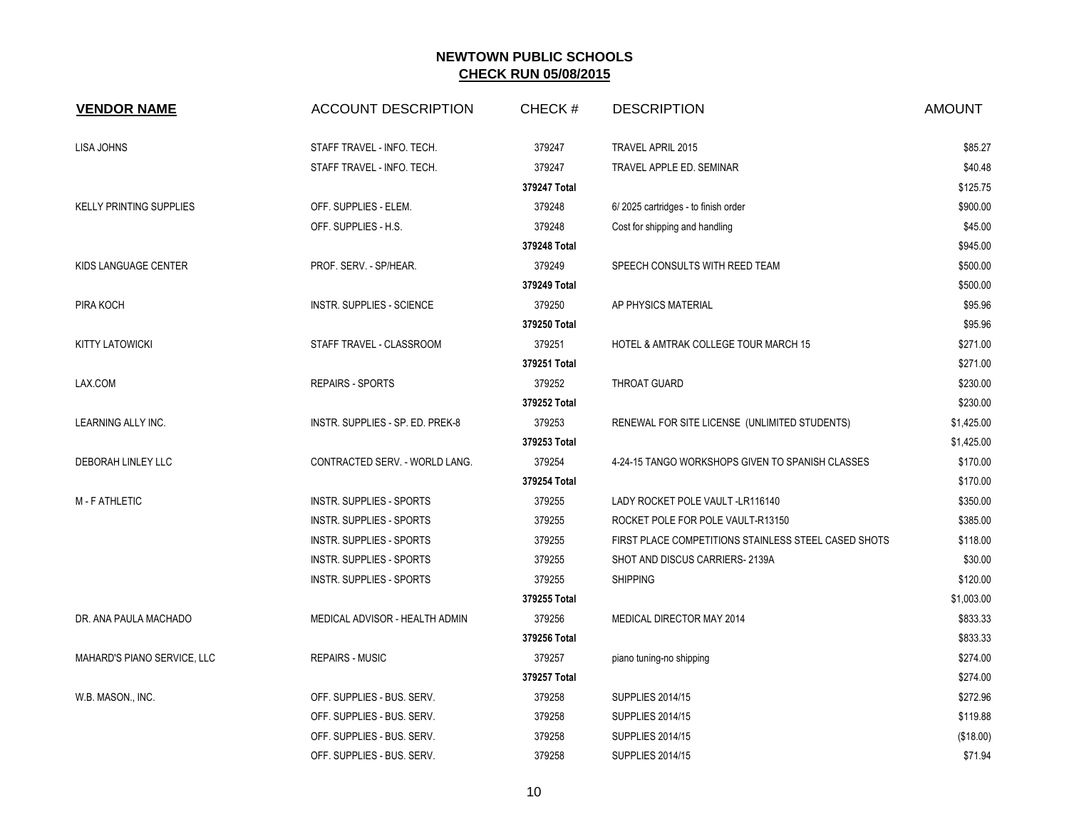| <b>VENDOR NAME</b>             | <b>ACCOUNT DESCRIPTION</b>       | CHECK#       | <b>DESCRIPTION</b>                                   | <b>AMOUNT</b> |
|--------------------------------|----------------------------------|--------------|------------------------------------------------------|---------------|
| LISA JOHNS                     | STAFF TRAVEL - INFO. TECH.       | 379247       | <b>TRAVEL APRIL 2015</b>                             | \$85.27       |
|                                | STAFF TRAVEL - INFO. TECH.       | 379247       | TRAVEL APPLE ED. SEMINAR                             | \$40.48       |
|                                |                                  | 379247 Total |                                                      | \$125.75      |
| <b>KELLY PRINTING SUPPLIES</b> | OFF. SUPPLIES - ELEM.            | 379248       | 6/2025 cartridges - to finish order                  | \$900.00      |
|                                | OFF. SUPPLIES - H.S.             | 379248       | Cost for shipping and handling                       | \$45.00       |
|                                |                                  | 379248 Total |                                                      | \$945.00      |
| KIDS LANGUAGE CENTER           | PROF. SERV. - SP/HEAR.           | 379249       | SPEECH CONSULTS WITH REED TEAM                       | \$500.00      |
|                                |                                  | 379249 Total |                                                      | \$500.00      |
| PIRA KOCH                      | <b>INSTR. SUPPLIES - SCIENCE</b> | 379250       | AP PHYSICS MATERIAL                                  | \$95.96       |
|                                |                                  | 379250 Total |                                                      | \$95.96       |
| <b>KITTY LATOWICKI</b>         | STAFF TRAVEL - CLASSROOM         | 379251       | HOTEL & AMTRAK COLLEGE TOUR MARCH 15                 | \$271.00      |
|                                |                                  | 379251 Total |                                                      | \$271.00      |
| LAX.COM                        | <b>REPAIRS - SPORTS</b>          | 379252       | THROAT GUARD                                         | \$230.00      |
|                                |                                  | 379252 Total |                                                      | \$230.00      |
| LEARNING ALLY INC.             | INSTR. SUPPLIES - SP. ED. PREK-8 | 379253       | RENEWAL FOR SITE LICENSE (UNLIMITED STUDENTS)        | \$1,425.00    |
|                                |                                  | 379253 Total |                                                      | \$1,425.00    |
| DEBORAH LINLEY LLC             | CONTRACTED SERV. - WORLD LANG.   | 379254       | 4-24-15 TANGO WORKSHOPS GIVEN TO SPANISH CLASSES     | \$170.00      |
|                                |                                  | 379254 Total |                                                      | \$170.00      |
| <b>M-FATHLETIC</b>             | INSTR. SUPPLIES - SPORTS         | 379255       | LADY ROCKET POLE VAULT-LR116140                      | \$350.00      |
|                                | INSTR. SUPPLIES - SPORTS         | 379255       | ROCKET POLE FOR POLE VAULT-R13150                    | \$385.00      |
|                                | INSTR. SUPPLIES - SPORTS         | 379255       | FIRST PLACE COMPETITIONS STAINLESS STEEL CASED SHOTS | \$118.00      |
|                                | INSTR. SUPPLIES - SPORTS         | 379255       | SHOT AND DISCUS CARRIERS-2139A                       | \$30.00       |
|                                | INSTR. SUPPLIES - SPORTS         | 379255       | <b>SHIPPING</b>                                      | \$120.00      |
|                                |                                  | 379255 Total |                                                      | \$1,003.00    |
| DR. ANA PAULA MACHADO          | MEDICAL ADVISOR - HEALTH ADMIN   | 379256       | MEDICAL DIRECTOR MAY 2014                            | \$833.33      |
|                                |                                  | 379256 Total |                                                      | \$833.33      |
| MAHARD'S PIANO SERVICE, LLC    | <b>REPAIRS - MUSIC</b>           | 379257       | piano tuning-no shipping                             | \$274.00      |
|                                |                                  | 379257 Total |                                                      | \$274.00      |
| W.B. MASON., INC.              | OFF. SUPPLIES - BUS. SERV.       | 379258       | <b>SUPPLIES 2014/15</b>                              | \$272.96      |
|                                | OFF. SUPPLIES - BUS. SERV.       | 379258       | <b>SUPPLIES 2014/15</b>                              | \$119.88      |
|                                | OFF. SUPPLIES - BUS. SERV.       | 379258       | <b>SUPPLIES 2014/15</b>                              | (\$18.00)     |
|                                | OFF. SUPPLIES - BUS. SERV.       | 379258       | <b>SUPPLIES 2014/15</b>                              | \$71.94       |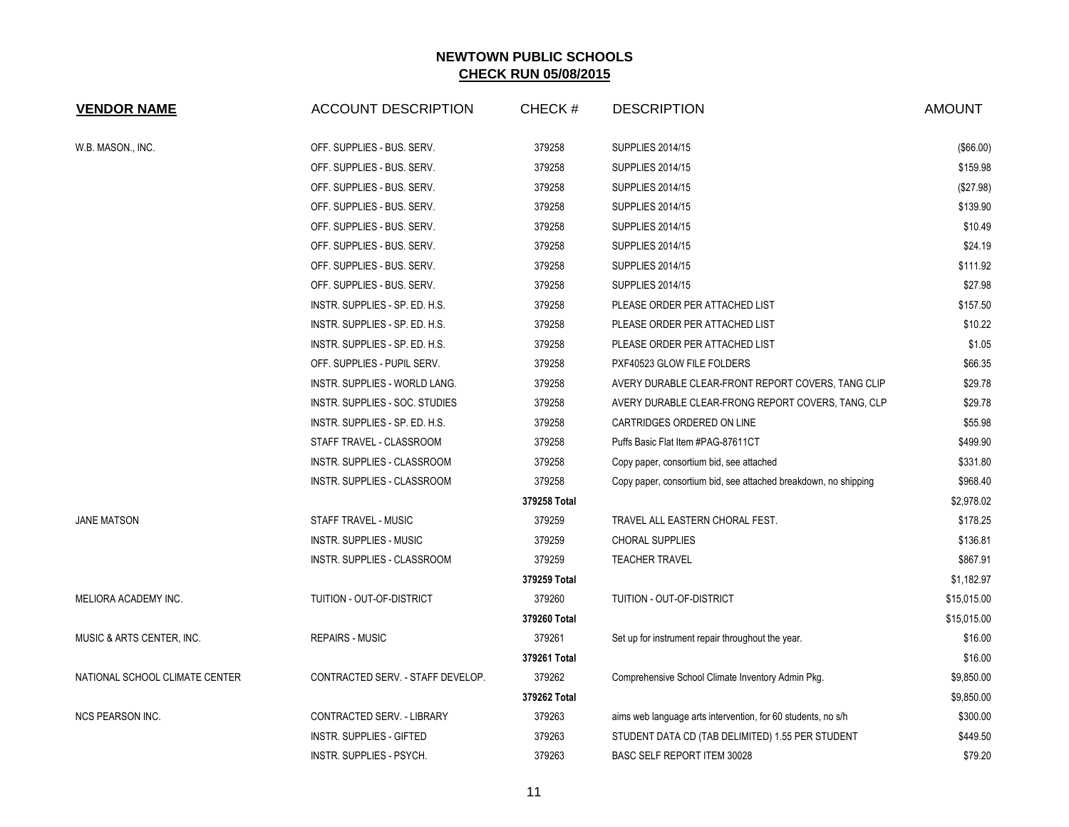| <b>VENDOR NAME</b>             | <b>ACCOUNT DESCRIPTION</b>         | CHECK#       | <b>DESCRIPTION</b>                                              | <b>AMOUNT</b> |
|--------------------------------|------------------------------------|--------------|-----------------------------------------------------------------|---------------|
| W.B. MASON., INC.              | OFF. SUPPLIES - BUS. SERV.         | 379258       | <b>SUPPLIES 2014/15</b>                                         | (\$66.00)     |
|                                | OFF. SUPPLIES - BUS. SERV.         | 379258       | <b>SUPPLIES 2014/15</b>                                         | \$159.98      |
|                                | OFF. SUPPLIES - BUS. SERV.         | 379258       | <b>SUPPLIES 2014/15</b>                                         | (\$27.98)     |
|                                | OFF. SUPPLIES - BUS. SERV.         | 379258       | <b>SUPPLIES 2014/15</b>                                         | \$139.90      |
|                                | OFF. SUPPLIES - BUS. SERV.         | 379258       | <b>SUPPLIES 2014/15</b>                                         | \$10.49       |
|                                | OFF. SUPPLIES - BUS. SERV.         | 379258       | <b>SUPPLIES 2014/15</b>                                         | \$24.19       |
|                                | OFF. SUPPLIES - BUS. SERV.         | 379258       | <b>SUPPLIES 2014/15</b>                                         | \$111.92      |
|                                | OFF. SUPPLIES - BUS. SERV.         | 379258       | <b>SUPPLIES 2014/15</b>                                         | \$27.98       |
|                                | INSTR. SUPPLIES - SP. ED. H.S.     | 379258       | PLEASE ORDER PER ATTACHED LIST                                  | \$157.50      |
|                                | INSTR. SUPPLIES - SP. ED. H.S.     | 379258       | PLEASE ORDER PER ATTACHED LIST                                  | \$10.22       |
|                                | INSTR. SUPPLIES - SP. ED. H.S.     | 379258       | PLEASE ORDER PER ATTACHED LIST                                  | \$1.05        |
|                                | OFF. SUPPLIES - PUPIL SERV.        | 379258       | PXF40523 GLOW FILE FOLDERS                                      | \$66.35       |
|                                | INSTR. SUPPLIES - WORLD LANG.      | 379258       | AVERY DURABLE CLEAR-FRONT REPORT COVERS, TANG CLIP              | \$29.78       |
|                                | INSTR. SUPPLIES - SOC. STUDIES     | 379258       | AVERY DURABLE CLEAR-FRONG REPORT COVERS, TANG, CLP              | \$29.78       |
|                                | INSTR. SUPPLIES - SP. ED. H.S.     | 379258       | CARTRIDGES ORDERED ON LINE                                      | \$55.98       |
|                                | STAFF TRAVEL - CLASSROOM           | 379258       | Puffs Basic Flat Item #PAG-87611CT                              | \$499.90      |
|                                | INSTR. SUPPLIES - CLASSROOM        | 379258       | Copy paper, consortium bid, see attached                        | \$331.80      |
|                                | INSTR. SUPPLIES - CLASSROOM        | 379258       | Copy paper, consortium bid, see attached breakdown, no shipping | \$968.40      |
|                                |                                    | 379258 Total |                                                                 | \$2,978.02    |
| <b>JANE MATSON</b>             | STAFF TRAVEL - MUSIC               | 379259       | TRAVEL ALL EASTERN CHORAL FEST.                                 | \$178.25      |
|                                | <b>INSTR. SUPPLIES - MUSIC</b>     | 379259       | CHORAL SUPPLIES                                                 | \$136.81      |
|                                | <b>INSTR. SUPPLIES - CLASSROOM</b> | 379259       | <b>TEACHER TRAVEL</b>                                           | \$867.91      |
|                                |                                    | 379259 Total |                                                                 | \$1,182.97    |
| MELIORA ACADEMY INC.           | TUITION - OUT-OF-DISTRICT          | 379260       | TUITION - OUT-OF-DISTRICT                                       | \$15,015.00   |
|                                |                                    | 379260 Total |                                                                 | \$15,015.00   |
| MUSIC & ARTS CENTER, INC.      | <b>REPAIRS - MUSIC</b>             | 379261       | Set up for instrument repair throughout the year.               | \$16.00       |
|                                |                                    | 379261 Total |                                                                 | \$16.00       |
| NATIONAL SCHOOL CLIMATE CENTER | CONTRACTED SERV. - STAFF DEVELOP.  | 379262       | Comprehensive School Climate Inventory Admin Pkg.               | \$9,850.00    |
|                                |                                    | 379262 Total |                                                                 | \$9,850.00    |
| <b>NCS PEARSON INC.</b>        | CONTRACTED SERV. - LIBRARY         | 379263       | aims web language arts intervention, for 60 students, no s/h    | \$300.00      |
|                                | <b>INSTR. SUPPLIES - GIFTED</b>    | 379263       | STUDENT DATA CD (TAB DELIMITED) 1.55 PER STUDENT                | \$449.50      |
|                                | INSTR. SUPPLIES - PSYCH.           | 379263       | BASC SELF REPORT ITEM 30028                                     | \$79.20       |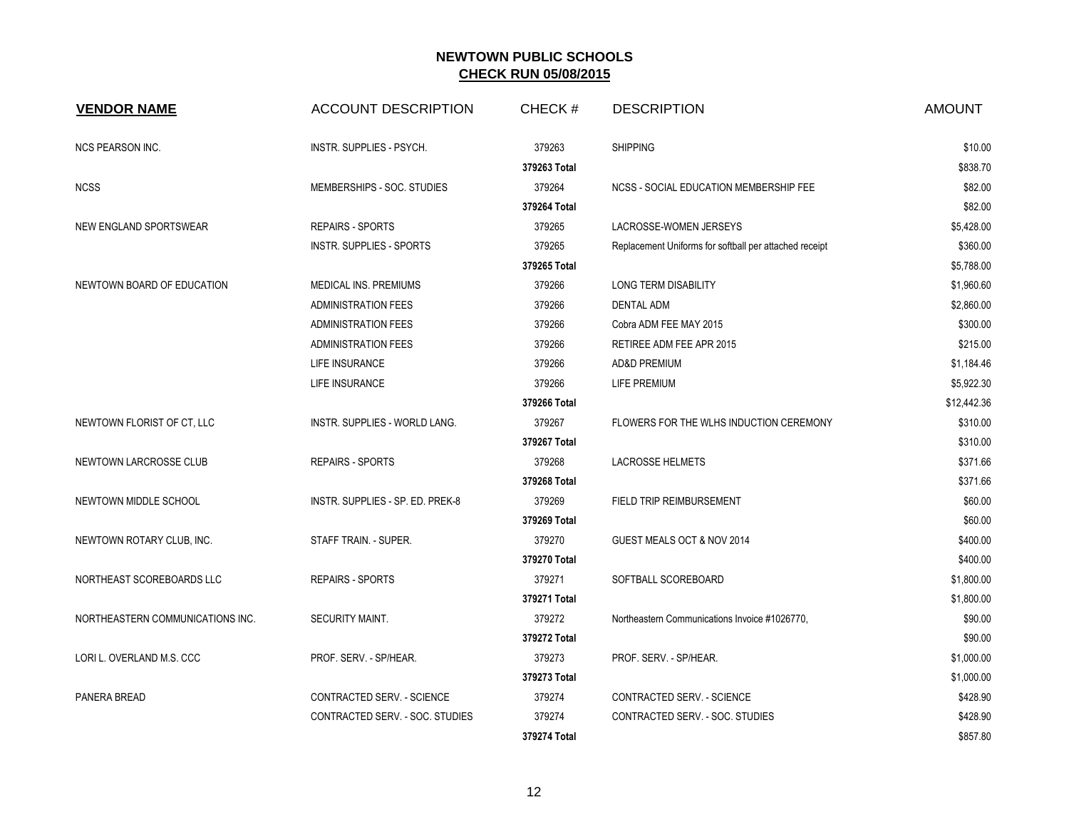| <b>VENDOR NAME</b>               | <b>ACCOUNT DESCRIPTION</b>       | CHECK#       | <b>DESCRIPTION</b>                                     | <b>AMOUNT</b> |
|----------------------------------|----------------------------------|--------------|--------------------------------------------------------|---------------|
| <b>NCS PEARSON INC.</b>          | INSTR. SUPPLIES - PSYCH.         | 379263       | <b>SHIPPING</b>                                        | \$10.00       |
|                                  |                                  | 379263 Total |                                                        | \$838.70      |
| <b>NCSS</b>                      | MEMBERSHIPS - SOC. STUDIES       | 379264       | NCSS - SOCIAL EDUCATION MEMBERSHIP FEE                 | \$82.00       |
|                                  |                                  | 379264 Total |                                                        | \$82.00       |
| NEW ENGLAND SPORTSWEAR           | <b>REPAIRS - SPORTS</b>          | 379265       | LACROSSE-WOMEN JERSEYS                                 | \$5,428.00    |
|                                  | INSTR. SUPPLIES - SPORTS         | 379265       | Replacement Uniforms for softball per attached receipt | \$360.00      |
|                                  |                                  | 379265 Total |                                                        | \$5,788.00    |
| NEWTOWN BOARD OF EDUCATION       | MEDICAL INS. PREMIUMS            | 379266       | LONG TERM DISABILITY                                   | \$1,960.60    |
|                                  | <b>ADMINISTRATION FEES</b>       | 379266       | <b>DENTAL ADM</b>                                      | \$2,860.00    |
|                                  | <b>ADMINISTRATION FEES</b>       | 379266       | Cobra ADM FEE MAY 2015                                 | \$300.00      |
|                                  | <b>ADMINISTRATION FEES</b>       | 379266       | RETIREE ADM FEE APR 2015                               | \$215.00      |
|                                  | LIFE INSURANCE                   | 379266       | <b>AD&amp;D PREMIUM</b>                                | \$1,184.46    |
|                                  | LIFE INSURANCE                   | 379266       | LIFE PREMIUM                                           | \$5,922.30    |
|                                  |                                  | 379266 Total |                                                        | \$12,442.36   |
| NEWTOWN FLORIST OF CT, LLC       | INSTR. SUPPLIES - WORLD LANG.    | 379267       | FLOWERS FOR THE WLHS INDUCTION CEREMONY                | \$310.00      |
|                                  |                                  | 379267 Total |                                                        | \$310.00      |
| NEWTOWN LARCROSSE CLUB           | <b>REPAIRS - SPORTS</b>          | 379268       | <b>LACROSSE HELMETS</b>                                | \$371.66      |
|                                  |                                  | 379268 Total |                                                        | \$371.66      |
| NEWTOWN MIDDLE SCHOOL            | INSTR. SUPPLIES - SP. ED. PREK-8 | 379269       | FIELD TRIP REIMBURSEMENT                               | \$60.00       |
|                                  |                                  | 379269 Total |                                                        | \$60.00       |
| NEWTOWN ROTARY CLUB, INC.        | STAFF TRAIN. - SUPER.            | 379270       | GUEST MEALS OCT & NOV 2014                             | \$400.00      |
|                                  |                                  | 379270 Total |                                                        | \$400.00      |
| NORTHEAST SCOREBOARDS LLC        | <b>REPAIRS - SPORTS</b>          | 379271       | SOFTBALL SCOREBOARD                                    | \$1,800.00    |
|                                  |                                  | 379271 Total |                                                        | \$1,800.00    |
| NORTHEASTERN COMMUNICATIONS INC. | <b>SECURITY MAINT.</b>           | 379272       | Northeastern Communications Invoice #1026770,          | \$90.00       |
|                                  |                                  | 379272 Total |                                                        | \$90.00       |
| LORI L. OVERLAND M.S. CCC        | PROF. SERV. - SP/HEAR.           | 379273       | PROF. SERV. - SP/HEAR.                                 | \$1,000.00    |
|                                  |                                  | 379273 Total |                                                        | \$1,000.00    |
| PANERA BREAD                     | CONTRACTED SERV. - SCIENCE       | 379274       | CONTRACTED SERV. - SCIENCE                             | \$428.90      |
|                                  | CONTRACTED SERV. - SOC. STUDIES  | 379274       | CONTRACTED SERV. - SOC. STUDIES                        | \$428.90      |
|                                  |                                  | 379274 Total |                                                        | \$857.80      |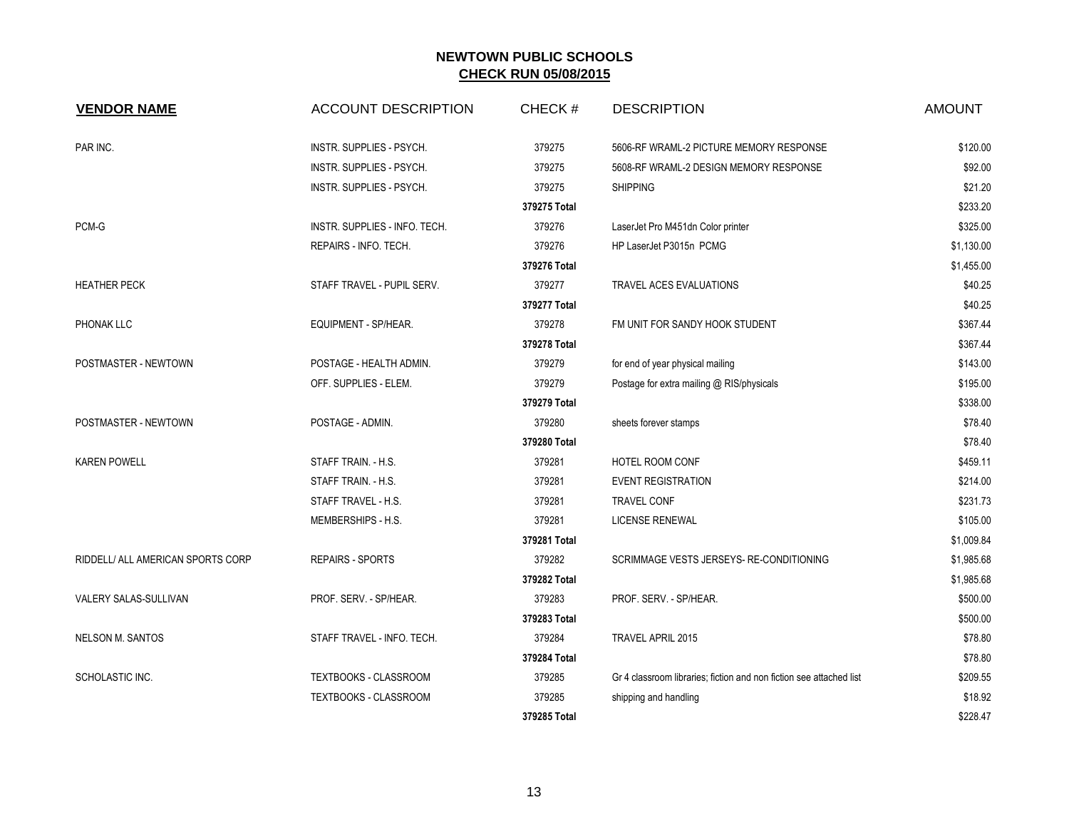| <b>VENDOR NAME</b>                | <b>ACCOUNT DESCRIPTION</b>    | CHECK#       | <b>DESCRIPTION</b>                                                  | <b>AMOUNT</b> |
|-----------------------------------|-------------------------------|--------------|---------------------------------------------------------------------|---------------|
| PAR INC.                          | INSTR. SUPPLIES - PSYCH.      | 379275       | 5606-RF WRAML-2 PICTURE MEMORY RESPONSE                             | \$120.00      |
|                                   | INSTR. SUPPLIES - PSYCH.      | 379275       | 5608-RF WRAML-2 DESIGN MEMORY RESPONSE                              | \$92.00       |
|                                   | INSTR. SUPPLIES - PSYCH.      | 379275       | <b>SHIPPING</b>                                                     | \$21.20       |
|                                   |                               | 379275 Total |                                                                     | \$233.20      |
| $PCM-G$                           | INSTR. SUPPLIES - INFO. TECH. | 379276       | LaserJet Pro M451dn Color printer                                   | \$325.00      |
|                                   | REPAIRS - INFO. TECH.         | 379276       | HP LaserJet P3015n PCMG                                             | \$1,130.00    |
|                                   |                               | 379276 Total |                                                                     | \$1,455.00    |
| <b>HEATHER PECK</b>               | STAFF TRAVEL - PUPIL SERV.    | 379277       | <b>TRAVEL ACES EVALUATIONS</b>                                      | \$40.25       |
|                                   |                               | 379277 Total |                                                                     | \$40.25       |
| PHONAK LLC                        | EQUIPMENT - SP/HEAR.          | 379278       | FM UNIT FOR SANDY HOOK STUDENT                                      | \$367.44      |
|                                   |                               | 379278 Total |                                                                     | \$367.44      |
| POSTMASTER - NEWTOWN              | POSTAGE - HEALTH ADMIN.       | 379279       | for end of year physical mailing                                    | \$143.00      |
|                                   | OFF. SUPPLIES - ELEM.         | 379279       | Postage for extra mailing @ RIS/physicals                           | \$195.00      |
|                                   |                               | 379279 Total |                                                                     | \$338.00      |
| POSTMASTER - NEWTOWN              | POSTAGE - ADMIN.              | 379280       | sheets forever stamps                                               | \$78.40       |
|                                   |                               | 379280 Total |                                                                     | \$78.40       |
| <b>KAREN POWELL</b>               | STAFF TRAIN. - H.S.           | 379281       | HOTEL ROOM CONF                                                     | \$459.11      |
|                                   | STAFF TRAIN. - H.S.           | 379281       | <b>EVENT REGISTRATION</b>                                           | \$214.00      |
|                                   | STAFF TRAVEL - H.S.           | 379281       | <b>TRAVEL CONF</b>                                                  | \$231.73      |
|                                   | MEMBERSHIPS - H.S.            | 379281       | <b>LICENSE RENEWAL</b>                                              | \$105.00      |
|                                   |                               | 379281 Total |                                                                     | \$1,009.84    |
| RIDDELL/ ALL AMERICAN SPORTS CORP | <b>REPAIRS - SPORTS</b>       | 379282       | SCRIMMAGE VESTS JERSEYS- RE-CONDITIONING                            | \$1,985.68    |
|                                   |                               | 379282 Total |                                                                     | \$1,985.68    |
| VALERY SALAS-SULLIVAN             | PROF. SERV. - SP/HEAR.        | 379283       | PROF. SERV. - SP/HEAR.                                              | \$500.00      |
|                                   |                               | 379283 Total |                                                                     | \$500.00      |
| <b>NELSON M. SANTOS</b>           | STAFF TRAVEL - INFO. TECH.    | 379284       | TRAVEL APRIL 2015                                                   | \$78.80       |
|                                   |                               | 379284 Total |                                                                     | \$78.80       |
| SCHOLASTIC INC.                   | <b>TEXTBOOKS - CLASSROOM</b>  | 379285       | Gr 4 classroom libraries; fiction and non fiction see attached list | \$209.55      |
|                                   | <b>TEXTBOOKS - CLASSROOM</b>  | 379285       | shipping and handling                                               | \$18.92       |
|                                   |                               | 379285 Total |                                                                     | \$228.47      |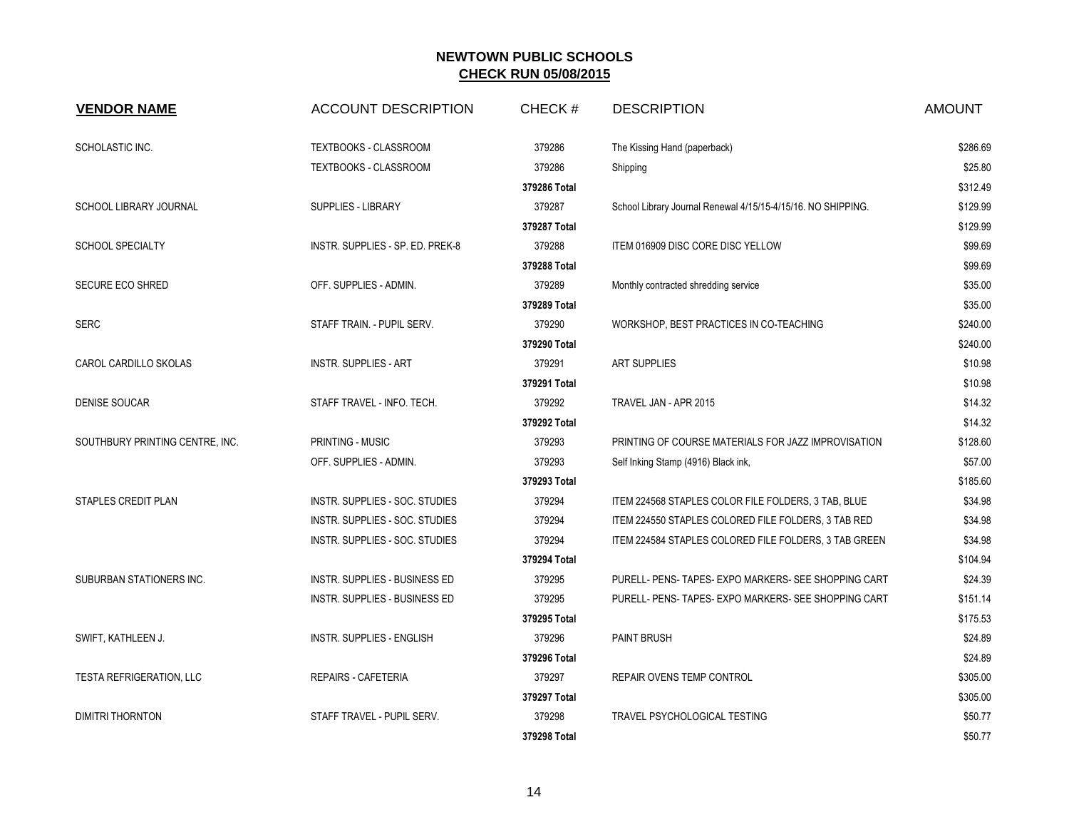| <b>VENDOR NAME</b>                                                            | <b>ACCOUNT DESCRIPTION</b>       | CHECK#       | <b>DESCRIPTION</b>                                           | <b>AMOUNT</b> |
|-------------------------------------------------------------------------------|----------------------------------|--------------|--------------------------------------------------------------|---------------|
| SCHOLASTIC INC.                                                               | TEXTBOOKS - CLASSROOM            | 379286       | The Kissing Hand (paperback)                                 | \$286.69      |
|                                                                               | TEXTBOOKS - CLASSROOM            | 379286       | Shipping                                                     | \$25.80       |
|                                                                               |                                  | 379286 Total |                                                              | \$312.49      |
| SCHOOL LIBRARY JOURNAL                                                        | SUPPLIES - LIBRARY               | 379287       | School Library Journal Renewal 4/15/15-4/15/16. NO SHIPPING. | \$129.99      |
|                                                                               |                                  | 379287 Total |                                                              | \$129.99      |
| <b>SCHOOL SPECIALTY</b>                                                       | INSTR. SUPPLIES - SP. ED. PREK-8 | 379288       | ITEM 016909 DISC CORE DISC YELLOW                            | \$99.69       |
|                                                                               |                                  | 379288 Total |                                                              | \$99.69       |
| <b>SECURE ECO SHRED</b>                                                       | OFF. SUPPLIES - ADMIN.           | 379289       | Monthly contracted shredding service                         | \$35.00       |
|                                                                               |                                  | 379289 Total |                                                              | \$35.00       |
| SERC                                                                          | STAFF TRAIN. - PUPIL SERV.       | 379290       | WORKSHOP, BEST PRACTICES IN CO-TEACHING                      | \$240.00      |
|                                                                               |                                  | 379290 Total |                                                              | \$240.00      |
| CAROL CARDILLO SKOLAS                                                         | <b>INSTR. SUPPLIES - ART</b>     | 379291       | <b>ART SUPPLIES</b>                                          | \$10.98       |
|                                                                               |                                  | 379291 Total |                                                              | \$10.98       |
| <b>DENISE SOUCAR</b>                                                          | STAFF TRAVEL - INFO. TECH.       | 379292       | TRAVEL JAN - APR 2015                                        | \$14.32       |
|                                                                               |                                  | 379292 Total |                                                              | \$14.32       |
| SOUTHBURY PRINTING CENTRE, INC.<br>PRINTING - MUSIC<br>OFF. SUPPLIES - ADMIN. |                                  | 379293       | PRINTING OF COURSE MATERIALS FOR JAZZ IMPROVISATION          | \$128.60      |
|                                                                               |                                  | 379293       | Self Inking Stamp (4916) Black ink,                          | \$57.00       |
|                                                                               | 379293 Total                     |              | \$185.60                                                     |               |
| <b>STAPLES CREDIT PLAN</b>                                                    | INSTR. SUPPLIES - SOC. STUDIES   | 379294       | ITEM 224568 STAPLES COLOR FILE FOLDERS, 3 TAB, BLUE          | \$34.98       |
|                                                                               | INSTR. SUPPLIES - SOC. STUDIES   | 379294       | ITEM 224550 STAPLES COLORED FILE FOLDERS, 3 TAB RED          | \$34.98       |
|                                                                               | INSTR. SUPPLIES - SOC. STUDIES   | 379294       | ITEM 224584 STAPLES COLORED FILE FOLDERS, 3 TAB GREEN        | \$34.98       |
|                                                                               |                                  | 379294 Total |                                                              | \$104.94      |
| SUBURBAN STATIONERS INC.                                                      | INSTR. SUPPLIES - BUSINESS ED    | 379295       | PURELL- PENS- TAPES- EXPO MARKERS- SEE SHOPPING CART         | \$24.39       |
|                                                                               | INSTR. SUPPLIES - BUSINESS ED    | 379295       | PURELL- PENS- TAPES- EXPO MARKERS- SEE SHOPPING CART         | \$151.14      |
|                                                                               |                                  | 379295 Total |                                                              | \$175.53      |
| SWIFT, KATHLEEN J.                                                            | INSTR. SUPPLIES - ENGLISH        | 379296       | <b>PAINT BRUSH</b>                                           | \$24.89       |
|                                                                               |                                  | 379296 Total |                                                              | \$24.89       |
| <b>TESTA REFRIGERATION, LLC</b>                                               | <b>REPAIRS - CAFETERIA</b>       | 379297       | REPAIR OVENS TEMP CONTROL                                    | \$305.00      |
|                                                                               |                                  | 379297 Total |                                                              | \$305.00      |
| <b>DIMITRI THORNTON</b>                                                       | STAFF TRAVEL - PUPIL SERV.       | 379298       | TRAVEL PSYCHOLOGICAL TESTING                                 | \$50.77       |
|                                                                               |                                  | 379298 Total |                                                              | \$50.77       |